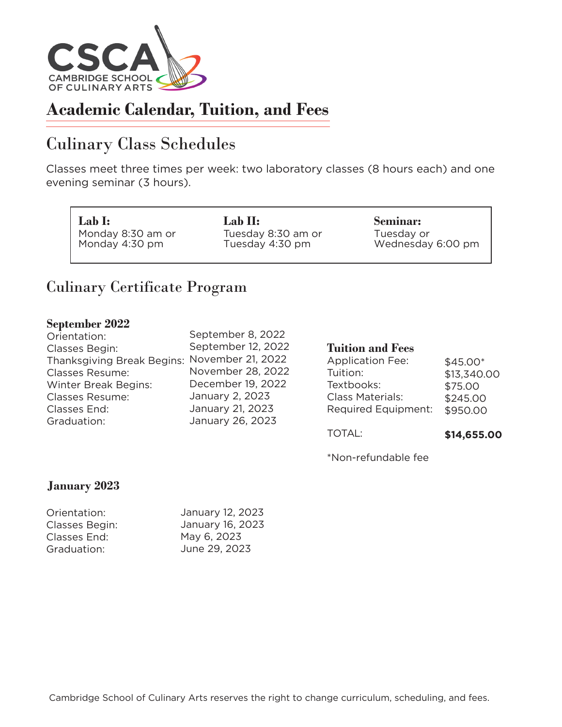

# Culinary Class Schedules

Classes meet three times per week: two laboratory classes (8 hours each) and one evening seminar (3 hours).

**Lab I:** Monday 8:30 am or Monday 4:30 pm

**Lab II:** Tuesday 8:30 am or Tuesday 4:30 pm

**Seminar:** Tuesday or Wednesday 6:00 pm

### Culinary Certificate Program

### **September 2022**

|                                              |                    | <b>TOTAL:</b>           | \$14,655.00 |
|----------------------------------------------|--------------------|-------------------------|-------------|
| Graduation:                                  | January 26, 2023   |                         |             |
| Classes End:                                 | January 21, 2023   | Required Equipment:     | \$950.00    |
| <b>Classes Resume:</b>                       | January 2, 2023    | <b>Class Materials:</b> | \$245.00    |
| <b>Winter Break Begins:</b>                  | December 19, 2022  | Textbooks:              | \$75.00     |
| <b>Classes Resume:</b>                       | November 28, 2022  | Tuition:                | \$13,340.00 |
| Thanksgiving Break Begins: November 21, 2022 |                    | <b>Application Fee:</b> | $$45.00*$   |
| Classes Begin:                               | September 12, 2022 | <b>Tuition and Fees</b> |             |
| Orientation:                                 | September 8, 2022  |                         |             |
|                                              |                    |                         |             |

\*Non-refundable fee

### **January 2023**

| Orientation:   | January 12, 2023 |
|----------------|------------------|
| Classes Begin: | January 16, 2023 |
| Classes End:   | May 6, 2023      |
| Graduation:    | June 29, 2023    |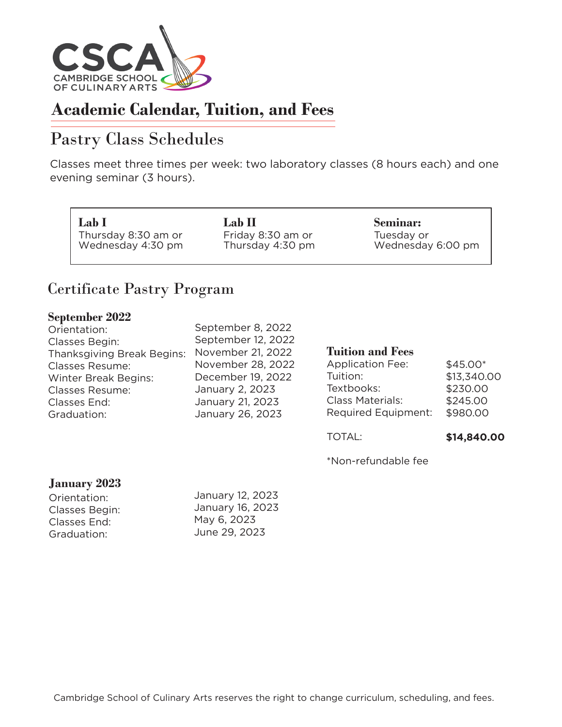

# Pastry Class Schedules

Classes meet three times per week: two laboratory classes (8 hours each) and one evening seminar (3 hours).

**Lab I** Thursday 8:30 am or Wednesday 4:30 pm **Lab II** Friday 8:30 am or Thursday 4:30 pm **Seminar:** Tuesday or Wednesday 6:00 pm

### Certificate Pastry Program

#### **September 2022**

| Orientation:               | September 8, 2022  |                         |             |
|----------------------------|--------------------|-------------------------|-------------|
| Classes Begin:             | September 12, 2022 |                         |             |
| Thanksgiving Break Begins: | November 21, 2022  | <b>Tuition and Fees</b> |             |
| <b>Classes Resume:</b>     | November 28, 2022  | <b>Application Fee:</b> | $$45.00*$   |
| Winter Break Begins:       | December 19, 2022  | Tuition:                | \$13,340.00 |
| <b>Classes Resume:</b>     | January 2, 2023    | Textbooks:              | \$230.00    |
| Classes End:               | January 21, 2023   | <b>Class Materials:</b> | \$245.00    |
| Graduation:                | January 26, 2023   | Required Equipment:     | \$980.00    |
|                            |                    |                         |             |

TOTAL:

**\$14,840.00**

\*Non-refundable fee

### **January 2023**

| January 12, 2023 |
|------------------|
| January 16, 2023 |
| May 6, 2023      |
| June 29, 2023    |
|                  |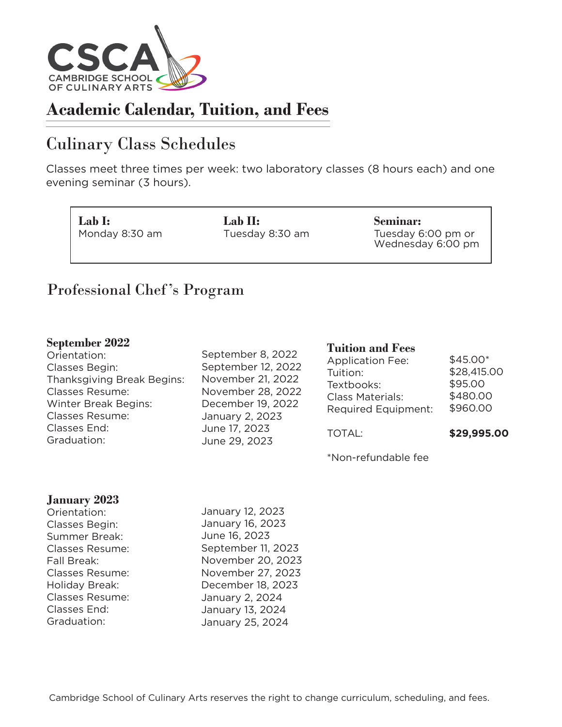

# Culinary Class Schedules

Classes meet three times per week: two laboratory classes (8 hours each) and one evening seminar (3 hours).

**Lab I:** Monday 8:30 am **Lab II:** Tuesday 8:30 am **Seminar:** Tuesday 6:00 pm or Wednesday 6:00 pm

### Professional Chef 's Program

#### **September 2022**

Orientation: Classes Begin: Thanksgiving Break Begins: Classes Resume: Winter Break Begins: Classes Resume: Classes End: Graduation:

September 8, 2022 September 12, 2022 November 21, 2022 November 28, 2022 December 19, 2022 January 2, 2023 June 17, 2023 June 29, 2023

**Tuition and Fees**

| <b>Application Fee:</b>    | \$45.00*    |
|----------------------------|-------------|
| Tuition:                   | \$28,415.00 |
| Textbooks:                 | \$95.00     |
| <b>Class Materials:</b>    | \$480.00    |
| <b>Required Equipment:</b> | \$960.00    |
|                            |             |
|                            |             |

TOTAL:

**\$29,995.00**

\*Non-refundable fee

#### **January 2023**

Orientation: Classes Begin: Summer Break: Classes Resume: Fall Break: Classes Resume: Holiday Break: Classes Resume: Classes End: Graduation:

January 12, 2023 January 16, 2023 June 16, 2023 September 11, 2023 November 20, 2023 November 27, 2023 December 18, 2023 January 2, 2024 January 13, 2024 January 25, 2024